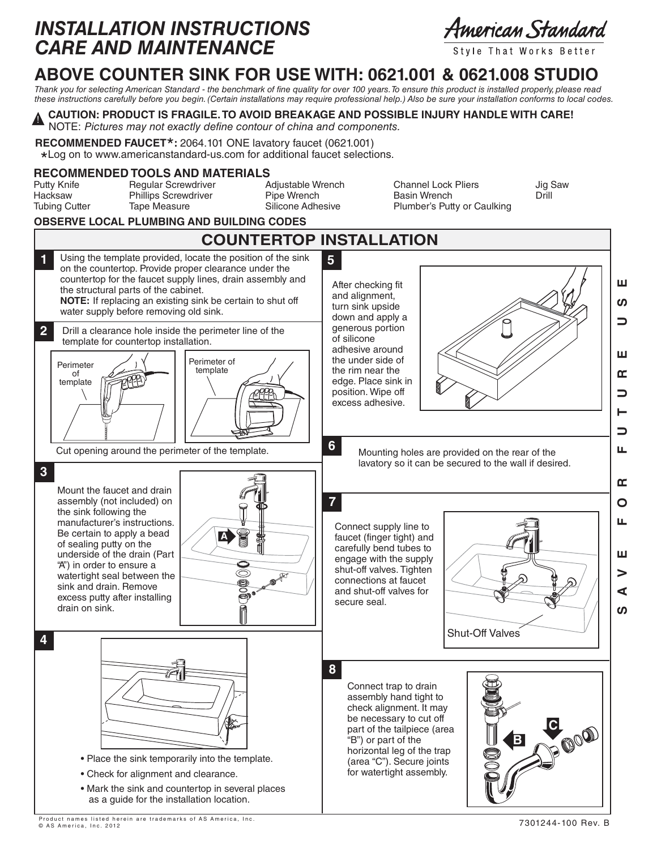## *INSTALLATION INSTRUCTIONS CARE AND MAINTENANCE*

American Standard

Style That Works Better

## **ABOVE COUNTER SINK FOR USE WITH: 0621.001 & 0621.008 STUDIO**

*Thank you for selecting American Standard - the benchmark of fine quality for over 100 years. To ensure this product is installed properly, please read these instructions carefully before you begin. (Certain installations may require professional help.) Also be sure your installation conforms to local codes.*

#### **CAUTION: PRODUCT IS FRAGILE. TO AVOID BREAKAGE AND POSSIBLE INJURY HANDLE WITH CARE!** !<br>!

NOTE: *Pictures may not exactly define contour of china and components.*

**RECOMMENDED FAUCET\*:** 2064.101 ONE lavatory faucet (0621.001)<br> **\*** | 00.00 to www.americanstandard-us.com for additional faucet selecti

\*Log on to www.americanstandard-us.com for additional faucet selections.

#### **RECOMMENDED TOOLS AND MATERIALS**

Hacksaw Phillips Screwdriver Pipe Wrench<br>Tubing Cutter Tape Measure Silicone Adhesive

Putty Knife Regular Screwdriver Adjustable Wrench Channel Lock Pliers Jig Saw Plumber's Putty or Caulking

### **OBSERVE LOCAL PLUMBING AND BUILDING CODES**